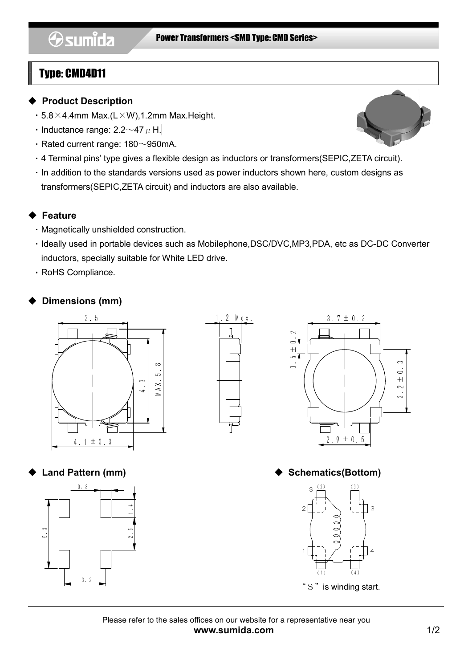## Type: CMD4D11

#### ◆ Product Description

- $\cdot$  5.8  $\times$  4.4mm Max.(L $\times$ W),1.2mm Max.Height.
- Inductance range: 2.2 $\sim$ 47  $\mu$  H.
- $\cdot$  Rated current range: 180 $\sim$ 950mA.
- ・4 Terminal pins' type gives a flexible design as inductors or transformers(SEPIC,ZETA circuit). ・In addition to the standards versions used as power inductors shown here, custom designs as transformers(SEPIC,ZETA circuit) and inductors are also available.

### **Eeature**

- ・Magnetically unshielded construction.
- ・Ideally used in portable devices such as Mobilephone,DSC/DVC,MP3,PDA, etc as DC-DC Converter inductors, specially suitable for White LED drive.
- ・RoHS Compliance.

## Dimensions (mm)









#### Land Pattern (mm) → Schematics(Bottom)



Please refer to the sales offices on our website for a representative near you www.sumida.com 1/2